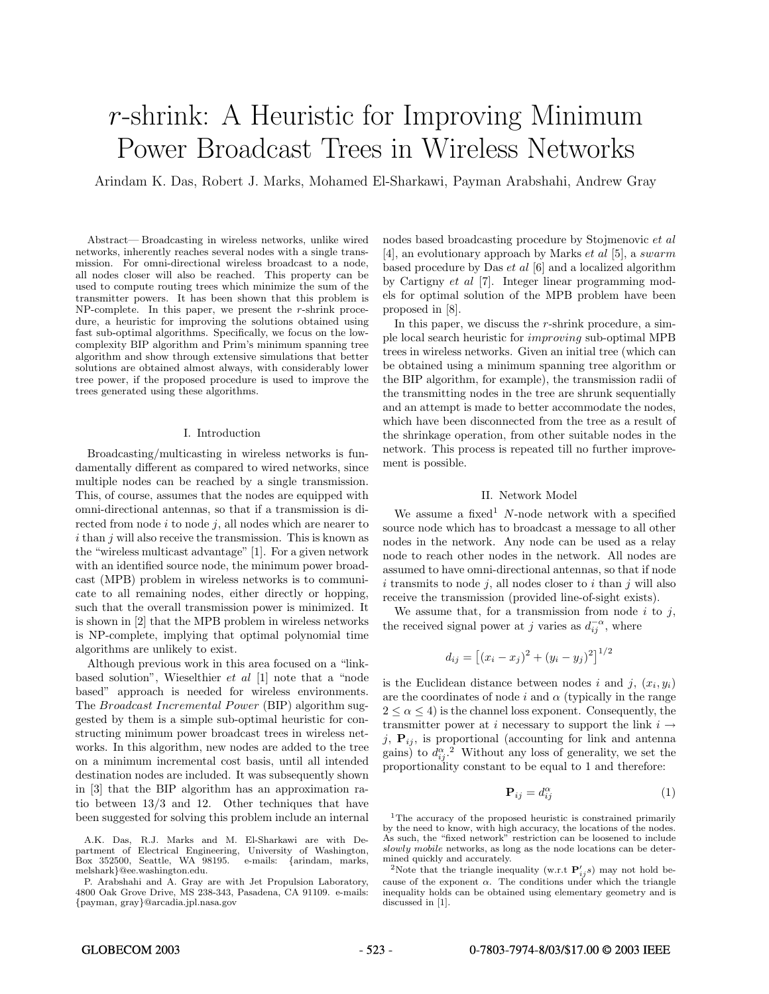# *r*-shrink: A Heuristic for Improving Minimum Power Broadcast Trees in Wireless Networks

Arindam K. Das, Robert J. Marks, Mohamed El-Sharkawi, Payman Arabshahi, Andrew Gray

Abstract— Broadcasting in wireless networks, unlike wired networks, inherently reaches several nodes with a single transmission. For omni-directional wireless broadcast to a node, all nodes closer will also be reached. This property can be used to compute routing trees which minimize the sum of the transmitter powers. It has been shown that this problem is  $NP$ -complete. In this paper, we present the *r*-shrink procedure, a heuristic for improving the solutions obtained using fast sub-optimal algorithms. Specifically, we focus on the lowcomplexity BIP algorithm and Prim's minimum spanning tree algorithm and show through extensive simulations that better solutions are obtained almost always, with considerably lower tree power, if the proposed procedure is used to improve the trees generated using these algorithms.

# I. Introduction

Broadcasting/multicasting in wireless networks is fundamentally different as compared to wired networks, since multiple nodes can be reached by a single transmission. This, of course, assumes that the nodes are equipped with omni-directional antennas, so that if a transmission is directed from node  $i$  to node  $j$ , all nodes which are nearer to  $i$  than  $j$  will also receive the transmission. This is known as the "wireless multicast advantage" [1]. For a given network with an identified source node, the minimum power broadcast (MPB) problem in wireless networks is to communicate to all remaining nodes, either directly or hopping, such that the overall transmission power is minimized. It is shown in [2] that the MPB problem in wireless networks is NP-complete, implying that optimal polynomial time algorithms are unlikely to exist.

Although previous work in this area focused on a "linkbased solution", Wieselthier et al [1] note that a "node based" approach is needed for wireless environments. The Broadcast Incremental Power (BIP) algorithm suggested by them is a simple sub-optimal heuristic for constructing minimum power broadcast trees in wireless networks. In this algorithm, new nodes are added to the tree on a minimum incremental cost basis, until all intended destination nodes are included. It was subsequently shown in [3] that the BIP algorithm has an approximation ratio between 13/3 and 12. Other techniques that have been suggested for solving this problem include an internal

P. Arabshahi and A. Gray are with Jet Propulsion Laboratory, 4800 Oak Grove Drive, MS 238-343, Pasadena, CA 91109. e-mails: {payman, gray}@arcadia.jpl.nasa.gov

nodes based broadcasting procedure by Stojmenovic et al [4], an evolutionary approach by Marks et al [5], a swarm based procedure by Das et al [6] and a localized algorithm by Cartigny et al [7]. Integer linear programming models for optimal solution of the MPB problem have been proposed in [8].

In this paper, we discuss the r-shrink procedure, a simple local search heuristic for improving sub-optimal MPB trees in wireless networks. Given an initial tree (which can be obtained using a minimum spanning tree algorithm or the BIP algorithm, for example), the transmission radii of the transmitting nodes in the tree are shrunk sequentially and an attempt is made to better accommodate the nodes, which have been disconnected from the tree as a result of the shrinkage operation, from other suitable nodes in the network. This process is repeated till no further improvement is possible.

# II. Network Model

We assume a fixed  $N$ -node network with a specified source node which has to broadcast a message to all other nodes in the network. Any node can be used as a relay node to reach other nodes in the network. All nodes are assumed to have omni-directional antennas, so that if node  $i$  transmits to node  $j$ , all nodes closer to  $i$  than  $j$  will also receive the transmission (provided line-of-sight exists).

We assume that, for a transmission from node  $i$  to  $j$ , the received signal power at j varies as  $d_{ij}^{-\alpha}$ , where

$$
d_{ij} = [(x_i - x_j)^2 + (y_i - y_j)^2]^{1/2}
$$

is the Euclidean distance between nodes i and j,  $(x_i, y_i)$ are the coordinates of node i and  $\alpha$  (typically in the range  $2 \le \alpha \le 4$ ) is the channel loss exponent. Consequently, the transmitter power at i necessary to support the link  $i \rightarrow$ j,  $P_{ij}$ , is proportional (accounting for link and antenna gains) to  $d_{ij}^{\alpha}$ .<sup>2</sup> Without any loss of generality, we set the proportionality constant to be equal to 1 and therefore:

$$
\mathbf{P}_{ij} = d_{ij}^{\alpha} \tag{1}
$$

<sup>1</sup>The accuracy of the proposed heuristic is constrained primarily by the need to know, with high accuracy, the locations of the nodes. As such, the "fixed network" restriction can be loosened to include slowly mobile networks, as long as the node locations can be determined quickly and accurately.

<sup>2</sup>Note that the triangle inequality (w.r.t  $P'_{ij}$ s) may not hold because of the exponent  $\alpha$ . The conditions under which the triangle inequality holds can be obtained using elementary geometry and is discussed in [1].

A.K. Das, R.J. Marks and M. El-Sharkawi are with Department of Electrical Engineering, University of Washington, Box 352500, Seattle, WA  $98195$ . melshark}@ee.washington.edu.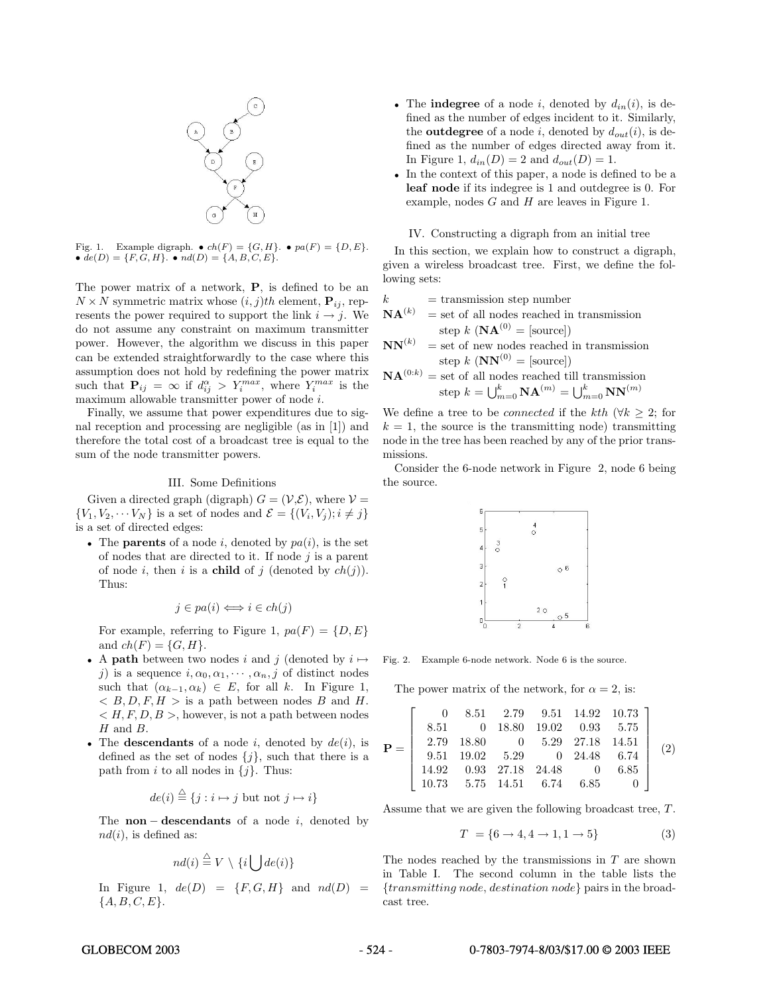

Fig. 1. Example digraph.  $\bullet$   $ch(F) = \{G, H\}$ .  $\bullet$   $pa(F) = \{D, E\}$ . •  $de(D) = \{F, G, H\}$ . •  $nd(D) = \{A, B, C, E\}$ .

The power matrix of a network, **P**, is defined to be an  $N \times N$  symmetric matrix whose  $(i, j)$ th element,  $\mathbf{P}_{ij}$ , represents the power required to support the link  $i \rightarrow j$ . We do not assume any constraint on maximum transmitter power. However, the algorithm we discuss in this paper can be extended straightforwardly to the case where this assumption does not hold by redefining the power matrix such that  $\mathbf{P}_{ij} = \infty$  if  $d_{ij}^{\alpha} > Y_i^{max}$ , where  $Y_i^{max}$  is the maximum allowable transmitter power of node i.

Finally, we assume that power expenditures due to signal reception and processing are negligible (as in [1]) and therefore the total cost of a broadcast tree is equal to the sum of the node transmitter powers.

#### III. Some Definitions

Given a directed graph (digraph)  $G = (\mathcal{V}, \mathcal{E})$ , where  $\mathcal{V} =$  $\{V_1, V_2, \cdots V_N\}$  is a set of nodes and  $\mathcal{E} = \{(V_i, V_j); i \neq j\}$ is a set of directed edges:

• The **parents** of a node i, denoted by  $pa(i)$ , is the set of nodes that are directed to it. If node  $i$  is a parent of node i, then i is a **child** of j (denoted by  $ch(j)$ ). Thus:

$$
j \in pa(i) \Longleftrightarrow i \in ch(j)
$$

For example, referring to Figure 1,  $pa(F) = \{D, E\}$ and  $ch(F) = \{G, H\}.$ 

- A **path** between two nodes i and j (denoted by  $i \mapsto$ j) is a sequence  $i, \alpha_0, \alpha_1, \cdots, \alpha_n, j$  of distinct nodes such that  $(\alpha_{k-1}, \alpha_k) \in E$ , for all k. In Figure 1,  $B, D, F, H >$  is a path between nodes B and H.  $\langle H, F, D, B \rangle$ , however, is not a path between nodes H and B.
- The **descendants** of a node  $i$ , denoted by  $de(i)$ , is defined as the set of nodes  $\{j\}$ , such that there is a path from i to all nodes in  $\{j\}$ . Thus:

$$
de(i) \stackrel{\triangle}{=} \{j : i \mapsto j \text{ but not } j \mapsto i\}
$$

The **non** − **descendants** of a node i, denoted by  $nd(i)$ , is defined as:

$$
nd(i) \stackrel{\triangle}{=} V \setminus \{i \bigcup de(i)\}
$$

In Figure 1,  $de(D) = {F, G, H}$  and  $nd(D) =$  ${A, B, C, E}.$ 

- The **indegree** of a node i, denoted by  $d_{in}(i)$ , is defined as the number of edges incident to it. Similarly, the **outdegree** of a node i, denoted by  $d_{out}(i)$ , is defined as the number of edges directed away from it. In Figure 1,  $d_{in}(D) = 2$  and  $d_{out}(D) = 1$ .
- In the context of this paper, a node is defined to be a **leaf node** if its indegree is 1 and outdegree is 0. For example, nodes  $G$  and  $H$  are leaves in Figure 1.

IV. Constructing a digraph from an initial tree

In this section, we explain how to construct a digraph, given a wireless broadcast tree. First, we define the following sets:

$$
k = \text{transmission step number}
$$

$$
\mathbf{NA}^{(k)} = \text{set of all nodes reached in transmission}
$$
  
step  $k \left( \mathbf{NA}^{(0)} = [\text{source}] \right)$ 

 $NN^{(k)}$  = set of new nodes reached in transmission step k  $(NN^{(0)} =$  [source])

$$
\mathbf{NA}^{(0:k)} = \text{set of all nodes reached till transmission}
$$
  
step  $k = \bigcup_{m=0}^{k} \mathbf{NA}^{(m)} = \bigcup_{m=0}^{k} \mathbf{NN}^{(m)}$ 

We define a tree to be *connected* if the kth ( $\forall k \geq 2$ ; for  $k = 1$ , the source is the transmitting node) transmitting node in the tree has been reached by any of the prior transmissions.

Consider the 6-node network in Figure 2, node 6 being the source.



Fig. 2. Example 6-node network. Node 6 is the source.

The power matrix of the network, for  $\alpha = 2$ , is:

$$
\mathbf{P} = \left[\begin{array}{ccccc} 0 & 8.51 & 2.79 & 9.51 & 14.92 & 10.73 \\ 8.51 & 0 & 18.80 & 19.02 & 0.93 & 5.75 \\ 2.79 & 18.80 & 0 & 5.29 & 27.18 & 14.51 \\ 9.51 & 19.02 & 5.29 & 0 & 24.48 & 6.74 \\ 14.92 & 0.93 & 27.18 & 24.48 & 0 & 6.85 \\ 10.73 & 5.75 & 14.51 & 6.74 & 6.85 & 0 \end{array}\right] (2)
$$

Assume that we are given the following broadcast tree, T.

$$
T = \{6 \to 4, 4 \to 1, 1 \to 5\} \tag{3}
$$

The nodes reached by the transmissions in  $T$  are shown in Table I. The second column in the table lists the {transmitting node, destination node} pairs in the broadcast tree.

# GLOBECOM 2003 - 524 - 0-7803-7974-8/03/\$17.00 © 2003 IEEE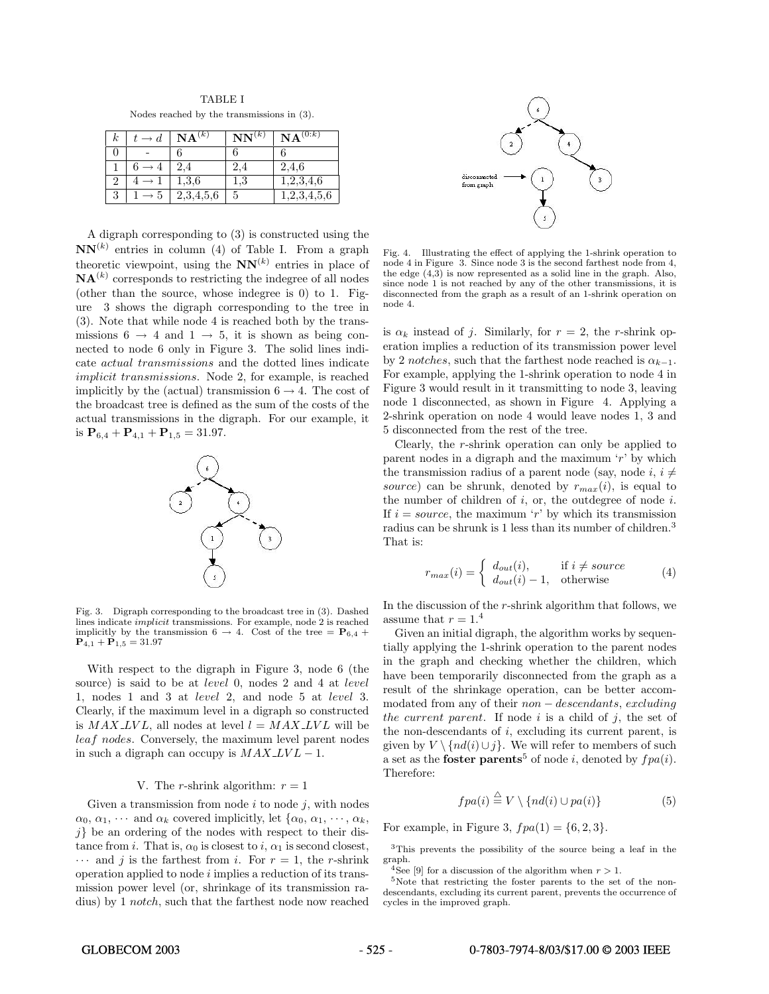| <b>TABLE I</b> |                                               |  |  |  |  |  |  |
|----------------|-----------------------------------------------|--|--|--|--|--|--|
|                | Nodes reached by the transmissions in $(3)$ . |  |  |  |  |  |  |

| k | đ. | $\mathbf{NA}^{(k)}$ | $\mathbf{NN}^{(k)}$ | $\mathbf{NA}^{(0:k)}$ |
|---|----|---------------------|---------------------|-----------------------|
|   |    |                     |                     |                       |
|   |    | 2.4                 | 2.4                 | 2,4,6                 |
|   |    | $1.3.6\,$           | $_{1.3}$            | 1,2,3,4,6             |
| 3 |    | 2,3,4,5,6           | 5                   | 2,3,4,5,6             |

A digraph corresponding to (3) is constructed using the  $NN^{(k)}$  entries in column (4) of Table I. From a graph theoretic viewpoint, using the  $NN^{(k)}$  entries in place of  $\mathbf{NA}^{(k)}$  corresponds to restricting the indegree of all nodes (other than the source, whose indegree is 0) to 1. Figure 3 shows the digraph corresponding to the tree in (3). Note that while node 4 is reached both by the transmissions  $6 \rightarrow 4$  and  $1 \rightarrow 5$ , it is shown as being connected to node 6 only in Figure 3. The solid lines indicate actual transmissions and the dotted lines indicate implicit transmissions. Node 2, for example, is reached implicitly by the (actual) transmission  $6 \rightarrow 4$ . The cost of the broadcast tree is defined as the sum of the costs of the actual transmissions in the digraph. For our example, it is  $P_{6,4} + P_{4,1} + P_{1,5} = 31.97$ .



Fig. 3. Digraph corresponding to the broadcast tree in (3). Dashed lines indicate implicit transmissions. For example, node 2 is reached implicitly by the transmission  $6 \rightarrow 4$ . Cost of the tree =  $P_{6,4}$  +  $P_{4,1} + P_{1,5} = 31.97$ 

With respect to the digraph in Figure 3, node 6 (the source) is said to be at *level* 0, nodes 2 and 4 at *level* 1, nodes 1 and 3 at level 2, and node 5 at level 3. Clearly, if the maximum level in a digraph so constructed is  $MAX$  LVL, all nodes at level  $l = MAX$  LVL will be leaf nodes. Conversely, the maximum level parent nodes in such a digraph can occupy is  $MAX$ <sub>LV</sub> $L - 1$ .

# V. The *r*-shrink algorithm:  $r = 1$

Given a transmission from node  $i$  to node  $j$ , with nodes  $\alpha_0, \alpha_1, \cdots$  and  $\alpha_k$  covered implicitly, let  $\{\alpha_0, \alpha_1, \cdots, \alpha_k,$  $j$ } be an ordering of the nodes with respect to their distance from i. That is,  $\alpha_0$  is closest to i,  $\alpha_1$  is second closest,  $\cdots$  and j is the farthest from i. For  $r = 1$ , the r-shrink operation applied to node  $i$  implies a reduction of its transmission power level (or, shrinkage of its transmission radius) by 1 notch, such that the farthest node now reached



Fig. 4. Illustrating the effect of applying the 1-shrink operation to node 4 in Figure 3. Since node 3 is the second farthest node from 4, the edge (4,3) is now represented as a solid line in the graph. Also, since node 1 is not reached by any of the other transmissions, it is disconnected from the graph as a result of an 1-shrink operation on node 4.

is  $\alpha_k$  instead of j. Similarly, for  $r = 2$ , the r-shrink operation implies a reduction of its transmission power level by 2 notches, such that the farthest node reached is  $\alpha_{k-1}$ . For example, applying the 1-shrink operation to node 4 in Figure 3 would result in it transmitting to node 3, leaving node 1 disconnected, as shown in Figure 4. Applying a 2-shrink operation on node 4 would leave nodes 1, 3 and 5 disconnected from the rest of the tree.

Clearly, the r-shrink operation can only be applied to parent nodes in a digraph and the maximum  $'r'$  by which the transmission radius of a parent node (say, node i,  $i \neq$ source) can be shrunk, denoted by  $r_{max}(i)$ , is equal to the number of children of  $i$ , or, the outdegree of node  $i$ . If  $i = source$ , the maximum 'r' by which its transmission radius can be shrunk is 1 less than its number of children.<sup>3</sup> That is:

$$
r_{max}(i) = \begin{cases} d_{out}(i), & \text{if } i \neq source \\ d_{out}(i) - 1, & \text{otherwise} \end{cases}
$$
 (4)

In the discussion of the r-shrink algorithm that follows, we assume that  $r = 1.4$ 

Given an initial digraph, the algorithm works by sequentially applying the 1-shrink operation to the parent nodes in the graph and checking whether the children, which have been temporarily disconnected from the graph as a result of the shrinkage operation, can be better accommodated from any of their non − descendants, excluding the current parent. If node  $i$  is a child of  $j$ , the set of the non-descendants of i, excluding its current parent, is given by  $V \setminus \{nd(i) \cup j\}$ . We will refer to members of such a set as the **foster parents**<sup>5</sup> of node *i*, denoted by  $f \cdot pa(i)$ . Therefore:

$$
fpa(i) \stackrel{\triangle}{=} V \setminus \{nd(i) \cup pa(i)\}\tag{5}
$$

For example, in Figure 3,  $f \cdot pa(1) = \{6, 2, 3\}.$ 

<sup>3</sup>This prevents the possibility of the source being a leaf in the graph.<br><sup>4</sup>See [9] for a discussion of the algorithm when  $r > 1$ .

<sup>5</sup>Note that restricting the foster parents to the set of the nondescendants, excluding its current parent, prevents the occurrence of cycles in the improved graph.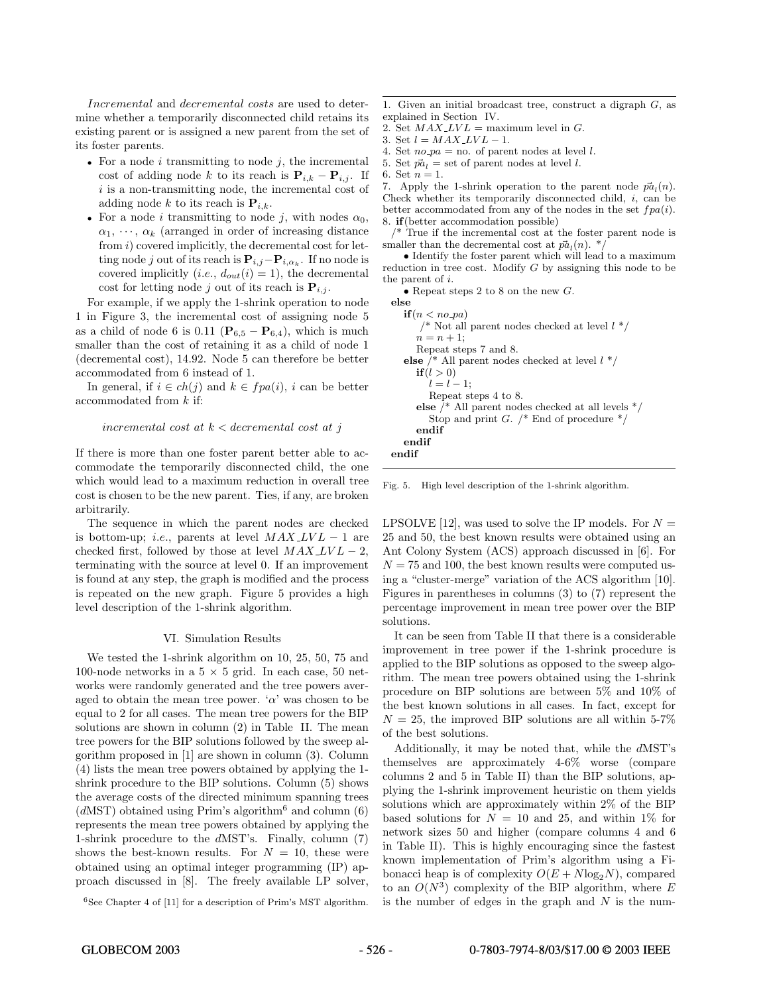Incremental and *decremental* costs are used to determine whether a temporarily disconnected child retains its existing parent or is assigned a new parent from the set of its foster parents.

- For a node  $i$  transmitting to node  $j$ , the incremental cost of adding node k to its reach is  $P_{i,k} - P_{i,j}$ . If  $i$  is a non-transmitting node, the incremental cost of adding node k to its reach is  $\mathbf{P}_{i,k}$ .
- For a node i transmitting to node j, with nodes  $\alpha_0$ ,  $\alpha_1, \cdots, \alpha_k$  (arranged in order of increasing distance from  $i)$  covered implicitly, the decremental cost for letting node j out of its reach is  $\mathbf{P}_{i,j}-\mathbf{P}_{i,\alpha_k}$ . If no node is covered implicitly (*i.e.*,  $d_{out}(i) = 1$ ), the decremental cost for letting node j out of its reach is  $P_{i,j}$ .

For example, if we apply the 1-shrink operation to node 1 in Figure 3, the incremental cost of assigning node 5 as a child of node 6 is 0.11 ( $\mathbf{P}_{6,5} - \mathbf{P}_{6,4}$ ), which is much smaller than the cost of retaining it as a child of node 1 (decremental cost), 14.92. Node 5 can therefore be better accommodated from 6 instead of 1.

In general, if  $i \in ch(j)$  and  $k \in fpa(i)$ , i can be better accommodated from k if:

# incremental cost at  $k <$  decremental cost at j

If there is more than one foster parent better able to accommodate the temporarily disconnected child, the one which would lead to a maximum reduction in overall tree cost is chosen to be the new parent. Ties, if any, are broken arbitrarily.

The sequence in which the parent nodes are checked is bottom-up; *i.e.*, parents at level  $MAX$ <sub>- $LVL-1$ </sub> are checked first, followed by those at level  $MAX$   $LVL - 2$ , terminating with the source at level 0. If an improvement is found at any step, the graph is modified and the process is repeated on the new graph. Figure 5 provides a high level description of the 1-shrink algorithm.

#### VI. Simulation Results

We tested the 1-shrink algorithm on 10, 25, 50, 75 and 100-node networks in a  $5 \times 5$  grid. In each case, 50 networks were randomly generated and the tree powers averaged to obtain the mean tree power. ' $\alpha$ ' was chosen to be equal to 2 for all cases. The mean tree powers for the BIP solutions are shown in column (2) in Table II. The mean tree powers for the BIP solutions followed by the sweep algorithm proposed in [1] are shown in column (3). Column (4) lists the mean tree powers obtained by applying the 1 shrink procedure to the BIP solutions. Column (5) shows the average costs of the directed minimum spanning trees  $(dMST)$  obtained using Prim's algorithm<sup>6</sup> and column (6) represents the mean tree powers obtained by applying the 1-shrink procedure to the dMST's. Finally, column (7) shows the best-known results. For  $N = 10$ , these were obtained using an optimal integer programming (IP) approach discussed in [8]. The freely available LP solver,

 $6$ See Chapter 4 of [11] for a description of Prim's MST algorithm.

1. Given an initial broadcast tree, construct a digraph  $G$ , as explained in Section IV.

- 2. Set  $MAX$ <sub>*LVL*</sub> = maximum level in *G*.
- 3. Set  $l = MAX$   $LVL 1$ .

4. Set  $no\_pa = no$ . of parent nodes at level l.

5. Set  $\vec{pa}_l =$  set of parent nodes at level l.

7. Apply the 1-shrink operation to the parent node  $\vec{pa}_l(n)$ . Check whether its temporarily disconnected child, i, can be better accommodated from any of the nodes in the set  $f \cdot pa(i)$ . 8. **if** (better accommodation possible)

 $\frac{1}{x}$  True if the incremental cost at the foster parent node is smaller than the decremental cost at  $\vec{pa}_l(n)$ . \*

*•* Identify the foster parent which will lead to a maximum reduction in tree cost. Modify  $G$  by assigning this node to be the parent of i.

• Repeat steps 2 to 8 on the new G.

| else                                                    |
|---------------------------------------------------------|
| $if(n < no\ pa)$                                        |
| /* Not all parent nodes checked at level $l^*/$         |
| $n = n + 1$ :                                           |
| Repeat steps 7 and 8.                                   |
| <b>else</b> /* All parent nodes checked at level $l^*/$ |
| if(l>0)                                                 |
| $l = l - 1$                                             |
| Repeat steps 4 to 8.                                    |
| else /* All parent nodes checked at all levels $*/$     |
| Stop and print G. $/*$ End of procedure $*/$            |
| endif                                                   |
| endif                                                   |
| endif                                                   |

Fig. 5. High level description of the 1-shrink algorithm.

LPSOLVE [12], was used to solve the IP models. For  $N =$ 25 and 50, the best known results were obtained using an Ant Colony System (ACS) approach discussed in [6]. For  $N = 75$  and 100, the best known results were computed using a "cluster-merge" variation of the ACS algorithm [10]. Figures in parentheses in columns (3) to (7) represent the percentage improvement in mean tree power over the BIP solutions.

It can be seen from Table II that there is a considerable improvement in tree power if the 1-shrink procedure is applied to the BIP solutions as opposed to the sweep algorithm. The mean tree powers obtained using the 1-shrink procedure on BIP solutions are between 5% and 10% of the best known solutions in all cases. In fact, except for  $N = 25$ , the improved BIP solutions are all within 5-7% of the best solutions.

Additionally, it may be noted that, while the dMST's themselves are approximately 4-6% worse (compare columns 2 and 5 in Table II) than the BIP solutions, applying the 1-shrink improvement heuristic on them yields solutions which are approximately within 2% of the BIP based solutions for  $N = 10$  and 25, and within 1% for network sizes 50 and higher (compare columns 4 and 6 in Table II). This is highly encouraging since the fastest known implementation of Prim's algorithm using a Fibonacci heap is of complexity  $O(E + N \log_2 N)$ , compared to an  $O(N^3)$  complexity of the BIP algorithm, where E is the number of edges in the graph and  $N$  is the num-

<sup>6.</sup> Set  $n = 1$ .